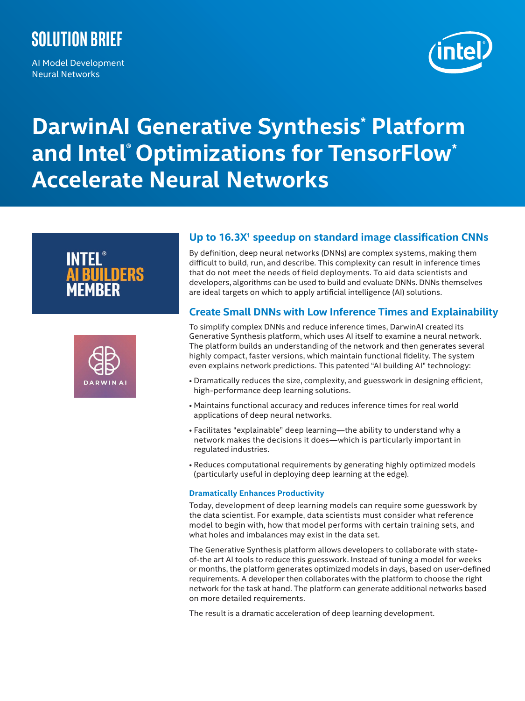# **Solution brief**

AI Model Development Neural Networks



# **DarwinAI Generative Synthesis\* Platform and Intel® Optimizations for TensorFlow\* Accelerate Neural Networks**





# **Up to 16.3X1 speedup on standard image classification CNNs**

By definition, deep neural networks (DNNs) are complex systems, making them difficult to build, run, and describe. This complexity can result in inference times that do not meet the needs of field deployments. To aid data scientists and developers, algorithms can be used to build and evaluate DNNs. DNNs themselves are ideal targets on which to apply artificial intelligence (AI) solutions.

# **Create Small DNNs with Low Inference Times and Explainability**

To simplify complex DNNs and reduce inference times, DarwinAI created its Generative Synthesis platform, which uses AI itself to examine a neural network. The platform builds an understanding of the network and then generates several highly compact, faster versions, which maintain functional fidelity. The system even explains network predictions. This patented "AI building AI" technology:

- Dramatically reduces the size, complexity, and guesswork in designing efficient, high-performance deep learning solutions.
- Maintains functional accuracy and reduces inference times for real world applications of deep neural networks.
- Facilitates "explainable" deep learning—the ability to understand why a network makes the decisions it does—which is particularly important in regulated industries.
- Reduces computational requirements by generating highly optimized models (particularly useful in deploying deep learning at the edge).

#### **Dramatically Enhances Productivity**

Today, development of deep learning models can require some guesswork by the data scientist. For example, data scientists must consider what reference model to begin with, how that model performs with certain training sets, and what holes and imbalances may exist in the data set.

The Generative Synthesis platform allows developers to collaborate with stateof-the art AI tools to reduce this guesswork. Instead of tuning a model for weeks or months, the platform generates optimized models in days, based on user-defined requirements. A developer then collaborates with the platform to choose the right network for the task at hand. The platform can generate additional networks based on more detailed requirements.

The result is a dramatic acceleration of deep learning development.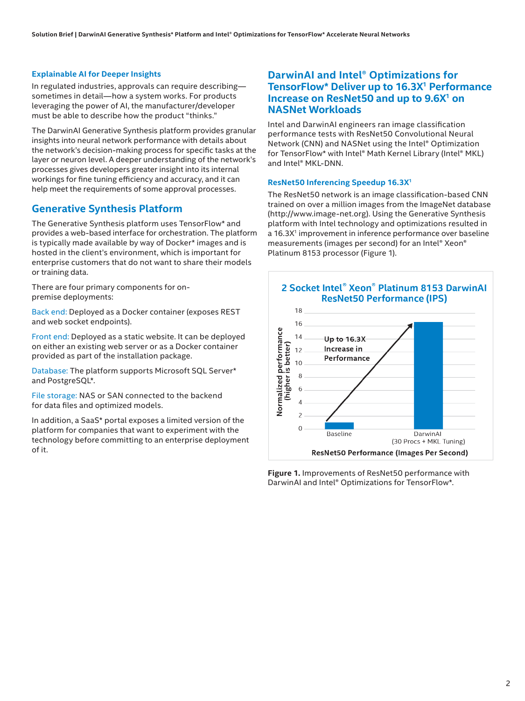#### **Explainable AI for Deeper Insights**

In regulated industries, approvals can require describing sometimes in detail—how a system works. For products leveraging the power of AI, the manufacturer/developer must be able to describe how the product "thinks."

The DarwinAI Generative Synthesis platform provides granular insights into neural network performance with details about the network's decision-making process for specific tasks at the layer or neuron level. A deeper understanding of the network's processes gives developers greater insight into its internal workings for fine tuning efficiency and accuracy, and it can help meet the requirements of some approval processes.

#### **Generative Synthesis Platform**

The Generative Synthesis platform uses TensorFlow\* and provides a web-based interface for orchestration. The platform is typically made available by way of Docker\* images and is hosted in the client's environment, which is important for enterprise customers that do not want to share their models or training data.

There are four primary components for onpremise deployments:

Back end: Deployed as a Docker container (exposes REST and web socket endpoints).

Front end: Deployed as a static website. It can be deployed on either an existing web server or as a Docker container provided as part of the installation package.

Database: The platform supports Microsoft SQL Server\* and PostgreSQL\*.

File storage: NAS or SAN connected to the backend for data files and optimized models.

In addition, a SaaS\* portal exposes a limited version of the platform for companies that want to experiment with the technology before committing to an enterprise deployment of it.

## **DarwinAI and Intel® Optimizations for TensorFlow\* Deliver up to 16.3X<sup>1</sup> Performance Increase on ResNet50 and up to 9.6X1 on NASNet Workloads**

Intel and DarwinAI engineers ran image classification performance tests with ResNet50 Convolutional Neural Network (CNN) and NASNet using the Intel® Optimization for TensorFlow\* with Intel® Math Kernel Library (Intel® MKL) and Intel® MKL-DNN.

#### **ResNet50 Inferencing Speedup 16.3X<sup>1</sup>**

The ResNet50 network is an image classification-based CNN trained on over a million images from the ImageNet database (http://www.image-net.org). Using the Generative Synthesis platform with Intel technology and optimizations resulted in a 16.3X<sup>1</sup> improvement in inference performance over baseline measurements (images per second) for an Intel® Xeon® Platinum 8153 processor (Figure 1).



**Figure 1.** Improvements of ResNet50 performance with DarwinAI and Intel® Optimizations for TensorFlow\*.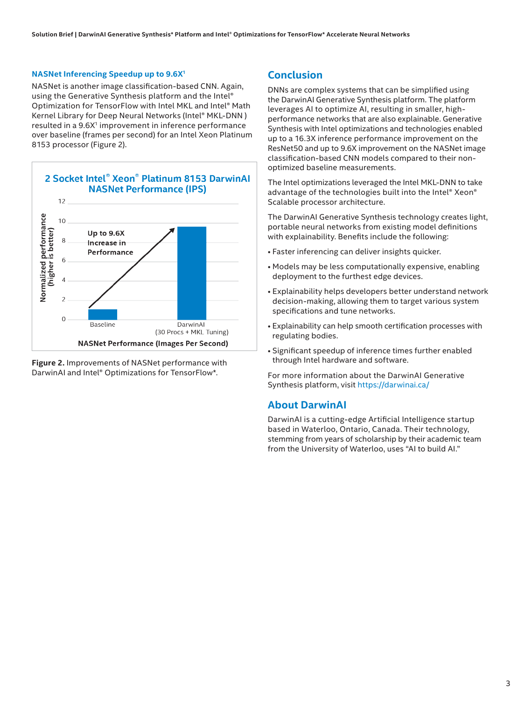#### **NASNet Inferencing Speedup up to 9.6X<sup>1</sup>**

NASNet is another image classification-based CNN. Again, using the Generative Synthesis platform and the Intel® Optimization for TensorFlow with Intel MKL and Intel® Math Kernel Library for Deep Neural Networks (Intel® MKL-DNN ) resulted in a 9.6X<sup>1</sup> improvement in inference performance over baseline (frames per second) for an Intel Xeon Platinum 8153 processor (Figure 2).





### **Conclusion**

DNNs are complex systems that can be simplified using the DarwinAI Generative Synthesis platform. The platform leverages AI to optimize AI, resulting in smaller, highperformance networks that are also explainable. Generative Synthesis with Intel optimizations and technologies enabled up to a 16.3X inference performance improvement on the ResNet50 and up to 9.6X improvement on the NASNet image classification-based CNN models compared to their nonoptimized baseline measurements.

The Intel optimizations leveraged the Intel MKL-DNN to take advantage of the technologies built into the Intel® Xeon® Scalable processor architecture.

The DarwinAI Generative Synthesis technology creates light, portable neural networks from existing model definitions with explainability. Benefits include the following:

- Faster inferencing can deliver insights quicker.
- Models may be less computationally expensive, enabling deployment to the furthest edge devices.
- Explainability helps developers better understand network decision-making, allowing them to target various system specifications and tune networks.
- Explainability can help smooth certification processes with regulating bodies.
- Significant speedup of inference times further enabled through Intel hardware and software.

For more information about the DarwinAI Generative Synthesis platform, visit https://darwinai.ca/

#### **About DarwinAI**

DarwinAI is a cutting-edge Artificial Intelligence startup based in Waterloo, Ontario, Canada. Their technology, stemming from years of scholarship by their academic team from the University of Waterloo, uses "AI to build AI."